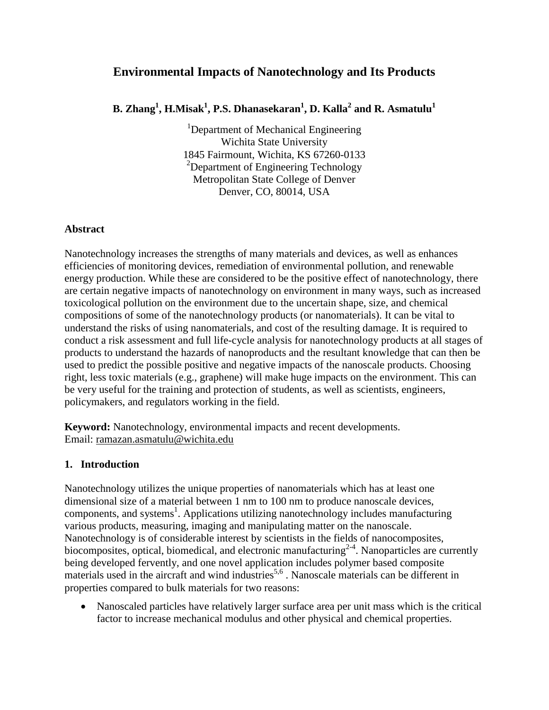# **Environmental Impacts of Nanotechnology and Its Products**

**B. Zhang<sup>1</sup> , H.Misak<sup>1</sup> , P.S. Dhanasekaran<sup>1</sup> , D. Kalla<sup>2</sup> and R. Asmatulu<sup>1</sup>**

<sup>1</sup>Department of Mechanical Engineering Wichita State University 1845 Fairmount, Wichita, KS 67260-0133 <sup>2</sup>Department of Engineering Technology Metropolitan State College of Denver Denver, CO, 80014, USA

## **Abstract**

Nanotechnology increases the strengths of many materials and devices, as well as enhances efficiencies of monitoring devices, remediation of environmental pollution, and renewable energy production. While these are considered to be the positive effect of nanotechnology, there are certain negative impacts of nanotechnology on environment in many ways, such as increased toxicological pollution on the environment due to the uncertain shape, size, and chemical compositions of some of the nanotechnology products (or nanomaterials). It can be vital to understand the risks of using nanomaterials, and cost of the resulting damage. It is required to conduct a risk assessment and full life-cycle analysis for nanotechnology products at all stages of products to understand the hazards of nanoproducts and the resultant knowledge that can then be used to predict the possible positive and negative impacts of the nanoscale products. Choosing right, less toxic materials (e.g., graphene) will make huge impacts on the environment. This can be very useful for the training and protection of students, as well as scientists, engineers, policymakers, and regulators working in the field.

**Keyword:** Nanotechnology, environmental impacts and recent developments. Email: ramazan.asmatulu@wichita.edu

## **1. Introduction**

Nanotechnology utilizes the unique properties of nanomaterials which has at least one dimensional size of a material between 1 nm to 100 nm to produce nanoscale devices, components, and systems<sup>1</sup>. Applications utilizing nanotechnology includes manufacturing various products, measuring, imaging and manipulating matter on the nanoscale. Nanotechnology is of considerable interest by scientists in the fields of nanocomposites, biocomposites, optical, biomedical, and electronic manufacturing<sup>2-4</sup>. Nanoparticles are currently being developed fervently, and one novel application includes polymer based composite materials used in the aircraft and wind industries<sup>5,6</sup>. Nanoscale materials can be different in properties compared to bulk materials for two reasons:

 Nanoscaled particles have relatively larger surface area per unit mass which is the critical factor to increase mechanical modulus and other physical and chemical properties.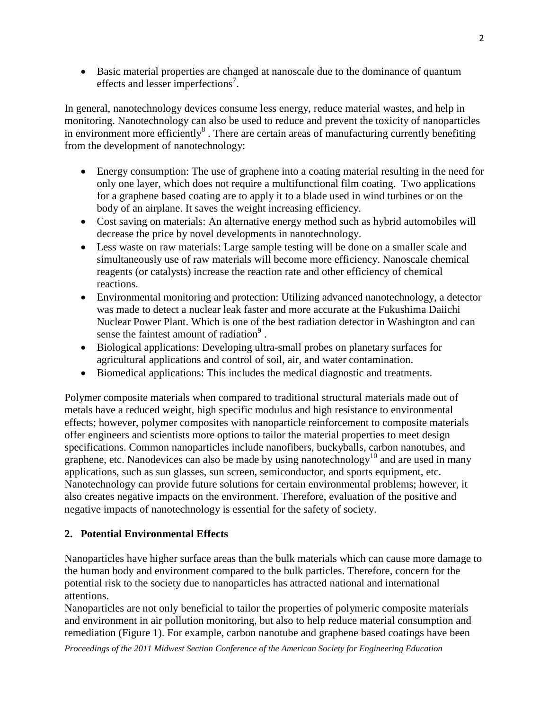Basic material properties are changed at nanoscale due to the dominance of quantum effects and lesser imperfections<sup>7</sup>.

In general, nanotechnology devices consume less energy, reduce material wastes, and help in monitoring. Nanotechnology can also be used to reduce and prevent the toxicity of nanoparticles in environment more efficiently $\delta$ . There are certain areas of manufacturing currently benefiting from the development of nanotechnology:

- Energy consumption: The use of graphene into a coating material resulting in the need for only one layer, which does not require a multifunctional film coating. Two applications for a graphene based coating are to apply it to a blade used in wind turbines or on the body of an airplane. It saves the weight increasing efficiency.
- Cost saving on materials: An alternative energy method such as hybrid automobiles will decrease the price by novel developments in nanotechnology.
- Less waste on raw materials: Large sample testing will be done on a smaller scale and simultaneously use of raw materials will become more efficiency. Nanoscale chemical reagents (or catalysts) increase the reaction rate and other efficiency of chemical reactions.
- Environmental monitoring and protection: Utilizing advanced nanotechnology, a detector was made to detect a nuclear leak faster and more accurate at the Fukushima Daiichi Nuclear Power Plant. Which is one of the best radiation detector in Washington and can sense the faintest amount of radiation $9$ .
- Biological applications: Developing ultra-small probes on planetary surfaces for agricultural applications and control of soil, air, and water contamination.
- Biomedical applications: This includes the medical diagnostic and treatments.

Polymer composite materials when compared to traditional structural materials made out of metals have a reduced weight, high specific modulus and high resistance to environmental effects; however, polymer composites with nanoparticle reinforcement to composite materials offer engineers and scientists more options to tailor the material properties to meet design specifications. Common nanoparticles include nanofibers, buckyballs, carbon nanotubes, and graphene, etc. Nanodevices can also be made by using nanotechnology<sup>10</sup> and are used in many applications, such as sun glasses, sun screen, semiconductor, and sports equipment, etc. Nanotechnology can provide future solutions for certain environmental problems; however, it also creates negative impacts on the environment. Therefore, evaluation of the positive and negative impacts of nanotechnology is essential for the safety of society.

## **2. Potential Environmental Effects**

Nanoparticles have higher surface areas than the bulk materials which can cause more damage to the human body and environment compared to the bulk particles. Therefore, concern for the potential risk to the society due to nanoparticles has attracted national and international attentions.

Nanoparticles are not only beneficial to tailor the properties of polymeric composite materials and environment in air pollution monitoring, but also to help reduce material consumption and remediation [\(Figure 1\)](#page-3-0). For example, carbon nanotube and graphene based coatings have been

*Proceedings of the 2011 Midwest Section Conference of the American Society for Engineering Education*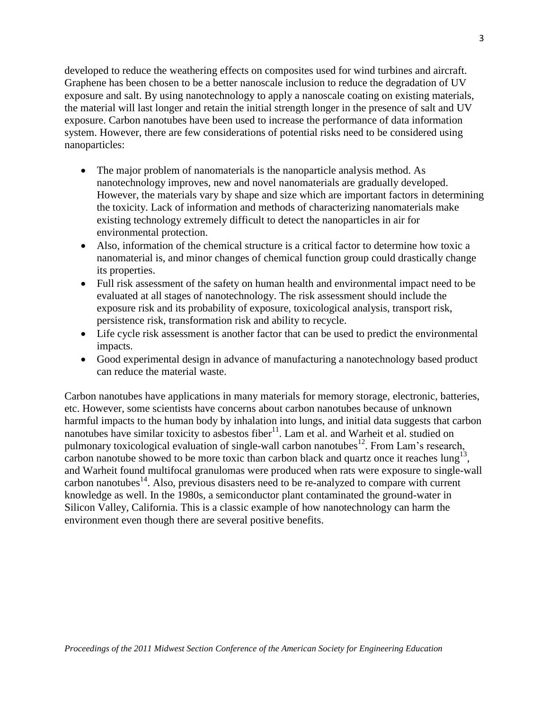developed to reduce the weathering effects on composites used for wind turbines and aircraft. Graphene has been chosen to be a better nanoscale inclusion to reduce the degradation of UV exposure and salt. By using nanotechnology to apply a nanoscale coating on existing materials, the material will last longer and retain the initial strength longer in the presence of salt and UV exposure. Carbon nanotubes have been used to increase the performance of data information system. However, there are few considerations of potential risks need to be considered using nanoparticles:

- The major problem of nanomaterials is the nanoparticle analysis method. As nanotechnology improves, new and novel nanomaterials are gradually developed. However, the materials vary by shape and size which are important factors in determining the toxicity. Lack of information and methods of characterizing nanomaterials make existing technology extremely difficult to detect the nanoparticles in air for environmental protection.
- Also, information of the chemical structure is a critical factor to determine how toxic a nanomaterial is, and minor changes of chemical function group could drastically change its properties.
- Full risk assessment of the safety on human health and environmental impact need to be evaluated at all stages of nanotechnology. The risk assessment should include the exposure risk and its probability of exposure, toxicological analysis, transport risk, persistence risk, transformation risk and ability to recycle.
- Life cycle risk assessment is another factor that can be used to predict the environmental impacts.
- Good experimental design in advance of manufacturing a nanotechnology based product can reduce the material waste.

Carbon nanotubes have applications in many materials for memory storage, electronic, batteries, etc. However, some scientists have concerns about carbon nanotubes because of unknown harmful impacts to the human body by inhalation into lungs, and initial data suggests that carbon nanotubes have similar toxicity to asbestos fiber<sup>11</sup>. Lam et al. and Warheit et al. studied on pulmonary toxicological evaluation of single-wall carbon nanotubes<sup>12</sup>. From Lam's research, carbon nanotube showed to be more toxic than carbon black and quartz once it reaches  $\text{lung}^{13}$ , and Warheit found multifocal granulomas were produced when rats were exposure to single-wall carbon nanotubes<sup>14</sup>. Also, previous disasters need to be re-analyzed to compare with current knowledge as well. In the 1980s, a semiconductor plant contaminated the ground-water in Silicon Valley, California. This is a classic example of how nanotechnology can harm the environment even though there are several positive benefits.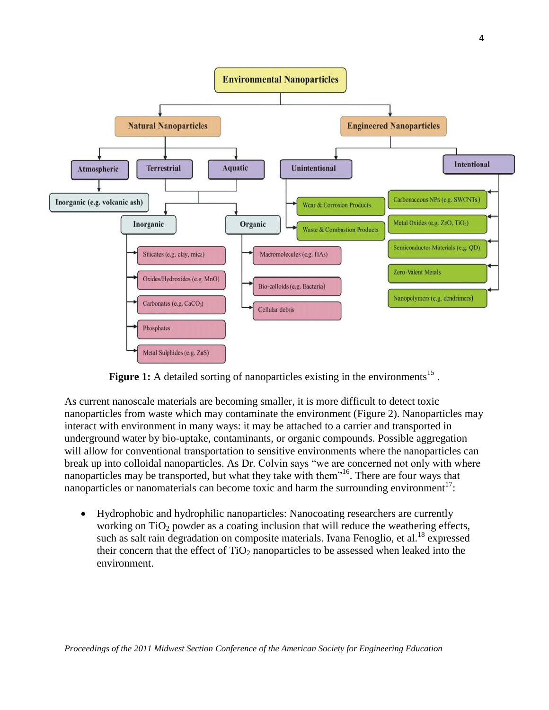

Figure 1: A detailed sorting of nanoparticles existing in the environments<sup>15</sup>.

<span id="page-3-0"></span>As current nanoscale materials are becoming smaller, it is more difficult to detect toxic nanoparticles from waste which may contaminate the environment [\(Figure 2\)](#page-4-0). Nanoparticles may interact with environment in many ways: it may be attached to a carrier and transported in underground water by bio-uptake, contaminants, or organic compounds. Possible aggregation will allow for conventional transportation to sensitive environments where the nanoparticles can break up into colloidal nanoparticles. As Dr. Colvin says "we are concerned not only with where nanoparticles may be transported, but what they take with them<sup>116</sup>. There are four ways that nanoparticles or nanomaterials can become toxic and harm the surrounding environment<sup>17</sup>:

 Hydrophobic and hydrophilic nanoparticles: Nanocoating researchers are currently working on  $TiO<sub>2</sub>$  powder as a coating inclusion that will reduce the weathering effects, such as salt rain degradation on composite materials. Ivana Fenoglio, et al.<sup>18</sup> expressed their concern that the effect of  $TiO<sub>2</sub>$  nanoparticles to be assessed when leaked into the environment.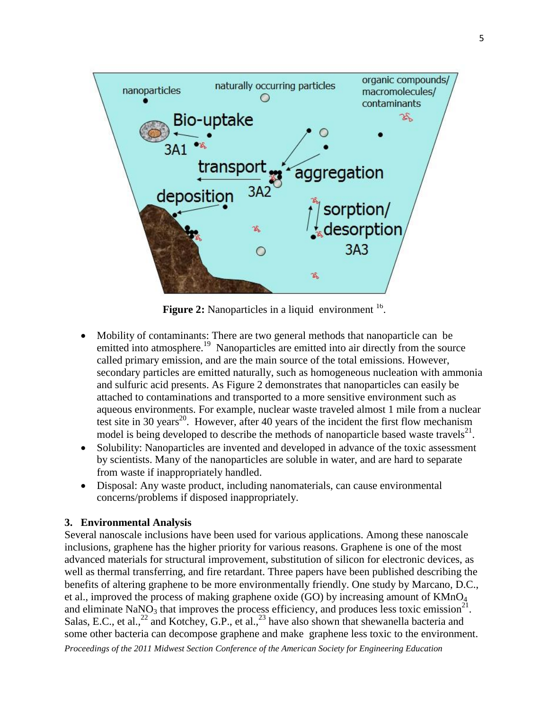

Figure 2: Nanoparticles in a liquid environment <sup>16</sup>.

- <span id="page-4-0"></span> Mobility of contaminants: There are two general methods that nanoparticle can be emitted into atmosphere.<sup>19</sup> Nanoparticles are emitted into air directly from the source called primary emission, and are the main source of the total emissions. However, secondary particles are emitted naturally, such as homogeneous nucleation with ammonia and sulfuric acid presents. As [Figure 2](#page-4-0) demonstrates that nanoparticles can easily be attached to contaminations and transported to a more sensitive environment such as aqueous environments. For example, nuclear waste traveled almost 1 mile from a nuclear test site in 30 years<sup>20</sup>. However, after 40 years of the incident the first flow mechanism model is being developed to describe the methods of nanoparticle based waste travels $^{21}$ .
- Solubility: Nanoparticles are invented and developed in advance of the toxic assessment by scientists. Many of the nanoparticles are soluble in water, and are hard to separate from waste if inappropriately handled.
- Disposal: Any waste product, including nanomaterials, can cause environmental concerns/problems if disposed inappropriately.

## **3. Environmental Analysis**

*Proceedings of the 2011 Midwest Section Conference of the American Society for Engineering Education* Several nanoscale inclusions have been used for various applications. Among these nanoscale inclusions, graphene has the higher priority for various reasons. Graphene is one of the most advanced materials for structural improvement, substitution of silicon for electronic devices, as well as thermal transferring, and fire retardant. Three papers have been published describing the benefits of altering graphene to be more environmentally friendly. One study by Marcano, D.C., et al., improved the process of making graphene oxide (GO) by increasing amount of  $KMnO<sub>4</sub>$ and eliminate  $\text{NaNO}_3$  that improves the process efficiency, and produces less toxic emission<sup>21</sup>. Salas, E.C., et al.,  $^{22}$  and Kotchey, G.P., et al.,  $^{23}$  have also shown that shewanella bacteria and some other bacteria can decompose graphene and make graphene less toxic to the environment.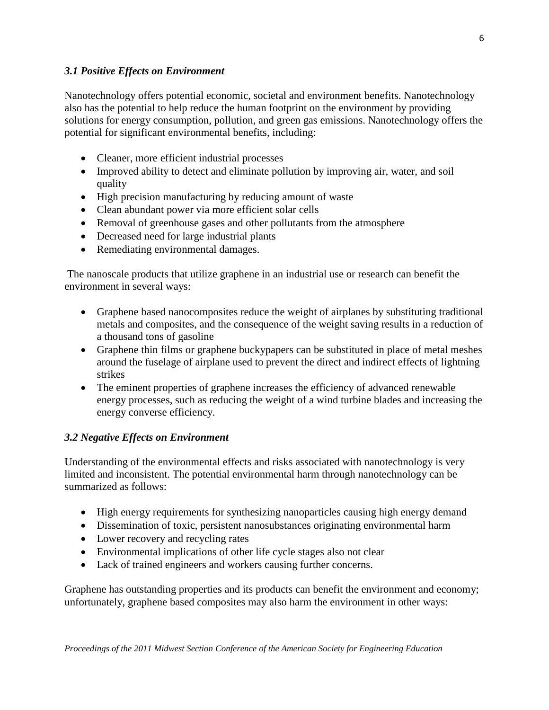## *3.1 Positive Effects on Environment*

Nanotechnology offers potential economic, societal and environment benefits. Nanotechnology also has the potential to help reduce the human footprint on the environment by providing solutions for energy consumption, pollution, and green gas emissions. Nanotechnology offers the potential for significant environmental benefits, including:

- Cleaner, more efficient industrial processes
- Improved ability to detect and eliminate pollution by improving air, water, and soil quality
- High precision manufacturing by reducing amount of waste
- Clean abundant power via more efficient solar cells
- Removal of greenhouse gases and other pollutants from the atmosphere
- Decreased need for large industrial plants
- Remediating environmental damages.

The nanoscale products that utilize graphene in an industrial use or research can benefit the environment in several ways:

- Graphene based nanocomposites reduce the weight of airplanes by substituting traditional metals and composites, and the consequence of the weight saving results in a reduction of a thousand tons of gasoline
- Graphene thin films or graphene buckypapers can be substituted in place of metal meshes around the fuselage of airplane used to prevent the direct and indirect effects of lightning strikes
- The eminent properties of graphene increases the efficiency of advanced renewable energy processes, such as reducing the weight of a wind turbine blades and increasing the energy converse efficiency.

### *3.2 Negative Effects on Environment*

Understanding of the environmental effects and risks associated with nanotechnology is very limited and inconsistent. The potential environmental harm through nanotechnology can be summarized as follows:

- High energy requirements for synthesizing nanoparticles causing high energy demand
- Dissemination of toxic, persistent nanosubstances originating environmental harm
- Lower recovery and recycling rates
- Environmental implications of other life cycle stages also not clear
- Lack of trained engineers and workers causing further concerns.

Graphene has outstanding properties and its products can benefit the environment and economy; unfortunately, graphene based composites may also harm the environment in other ways: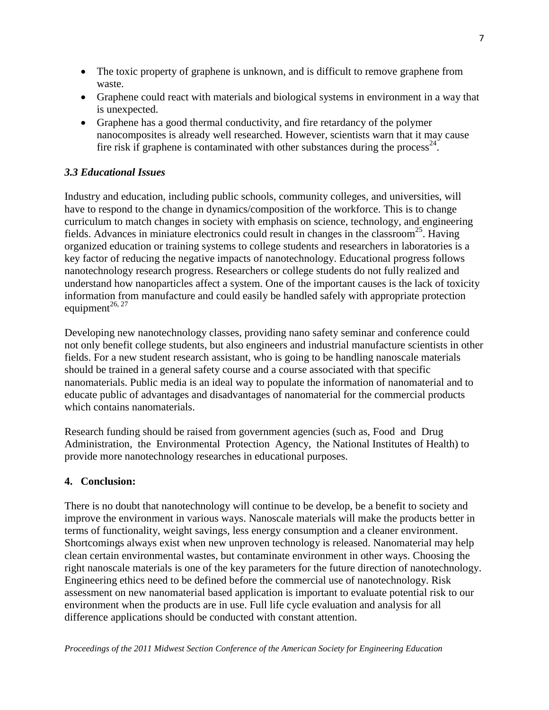- The toxic property of graphene is unknown, and is difficult to remove graphene from waste.
- Graphene could react with materials and biological systems in environment in a way that is unexpected.
- Graphene has a good thermal conductivity, and fire retardancy of the polymer nanocomposites is already well researched. However, scientists warn that it may cause fire risk if graphene is contaminated with other substances during the process<sup>24</sup>.

## *3.3 Educational Issues*

Industry and education, including public schools, community colleges, and universities, will have to respond to the change in dynamics/composition of the workforce. This is to change curriculum to match changes in society with emphasis on science, technology, and engineering fields. Advances in miniature electronics could result in changes in the classroom<sup>25</sup>. Having organized education or training systems to college students and researchers in laboratories is a key factor of reducing the negative impacts of nanotechnology. Educational progress follows nanotechnology research progress. Researchers or college students do not fully realized and understand how nanoparticles affect a system. One of the important causes is the lack of toxicity information from manufacture and could easily be handled safely with appropriate protection equipment<sup>26, 27</sup>

Developing new nanotechnology classes, providing nano safety seminar and conference could not only benefit college students, but also engineers and industrial manufacture scientists in other fields. For a new student research assistant, who is going to be handling nanoscale materials should be trained in a general safety course and a course associated with that specific nanomaterials. Public media is an ideal way to populate the information of nanomaterial and to educate public of advantages and disadvantages of nanomaterial for the commercial products which contains nanomaterials.

Research funding should be raised from government agencies (such as, Food and Drug Administration, the Environmental Protection Agency, the National Institutes of Health) to provide more nanotechnology researches in educational purposes.

### **4. Conclusion:**

There is no doubt that nanotechnology will continue to be develop, be a benefit to society and improve the environment in various ways. Nanoscale materials will make the products better in terms of functionality, weight savings, less energy consumption and a cleaner environment. Shortcomings always exist when new unproven technology is released. Nanomaterial may help clean certain environmental wastes, but contaminate environment in other ways. Choosing the right nanoscale materials is one of the key parameters for the future direction of nanotechnology. Engineering ethics need to be defined before the commercial use of nanotechnology. Risk assessment on new nanomaterial based application is important to evaluate potential risk to our environment when the products are in use. Full life cycle evaluation and analysis for all difference applications should be conducted with constant attention.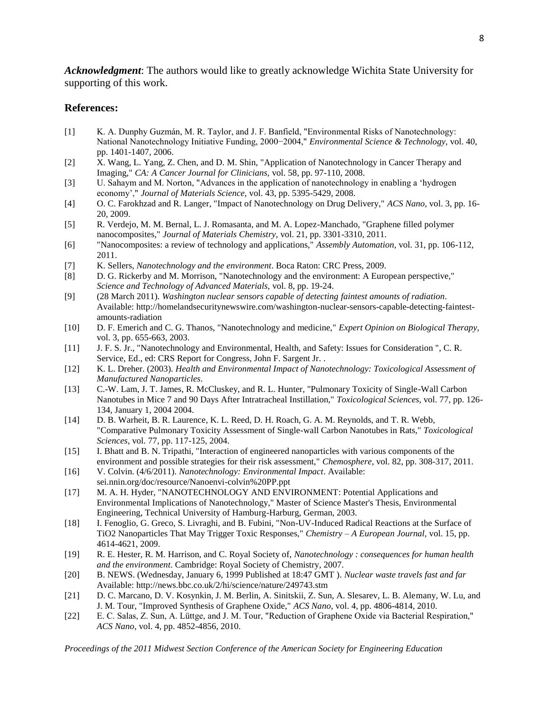*Acknowledgment*: The authors would like to greatly acknowledge Wichita State University for supporting of this work.

#### **References:**

- [1] K. A. Dunphy Guzmán, M. R. Taylor, and J. F. Banfield, "Environmental Risks of Nanotechnology:  National Nanotechnology Initiative Funding, 2000−2004," *Environmental Science & Technology,* vol. 40, pp. 1401-1407, 2006.
- [2] X. Wang, L. Yang, Z. Chen, and D. M. Shin, "Application of Nanotechnology in Cancer Therapy and Imaging," *CA: A Cancer Journal for Clinicians,* vol. 58, pp. 97-110, 2008.
- [3] U. Sahaym and M. Norton, "Advances in the application of nanotechnology in enabling a 'hydrogen economy'," *Journal of Materials Science,* vol. 43, pp. 5395-5429, 2008.
- [4] O. C. Farokhzad and R. Langer, "Impact of Nanotechnology on Drug Delivery," *ACS Nano,* vol. 3, pp. 16- 20, 2009.
- [5] R. Verdejo, M. M. Bernal, L. J. Romasanta, and M. A. Lopez-Manchado, "Graphene filled polymer nanocomposites," *Journal of Materials Chemistry,* vol. 21, pp. 3301-3310, 2011.
- [6] "Nanocomposites: a review of technology and applications," *Assembly Automation,* vol. 31, pp. 106-112, 2011.
- [7] K. Sellers, *Nanotechnology and the environment*. Boca Raton: CRC Press, 2009.
- [8] D. G. Rickerby and M. Morrison, "Nanotechnology and the environment: A European perspective," *Science and Technology of Advanced Materials,* vol. 8, pp. 19-24.
- [9] (28 March 2011). *Washington nuclear sensors capable of detecting faintest amounts of radiation*. Available: http://homelandsecuritynewswire.com/washington-nuclear-sensors-capable-detecting-faintestamounts-radiation
- [10] D. F. Emerich and C. G. Thanos, "Nanotechnology and medicine," *Expert Opinion on Biological Therapy,*  vol. 3, pp. 655-663, 2003.
- [11] J. F. S. Jr., "Nanotechnology and Environmental, Health, and Safety: Issues for Consideration ", C. R. Service, Ed., ed: CRS Report for Congress, John F. Sargent Jr. .
- [12] K. L. Dreher. (2003). *Health and Environmental Impact of Nanotechnology: Toxicological Assessment of Manufactured Nanoparticles*.
- [13] C.-W. Lam, J. T. James, R. McCluskey, and R. L. Hunter, "Pulmonary Toxicity of Single-Wall Carbon Nanotubes in Mice 7 and 90 Days After Intratracheal Instillation," *Toxicological Sciences,* vol. 77, pp. 126- 134, January 1, 2004 2004.
- [14] D. B. Warheit, B. R. Laurence, K. L. Reed, D. H. Roach, G. A. M. Reynolds, and T. R. Webb, "Comparative Pulmonary Toxicity Assessment of Single-wall Carbon Nanotubes in Rats," *Toxicological Sciences,* vol. 77, pp. 117-125, 2004.
- [15] I. Bhatt and B. N. Tripathi, "Interaction of engineered nanoparticles with various components of the environment and possible strategies for their risk assessment," *Chemosphere,* vol. 82, pp. 308-317, 2011.
- [16] V. Colvin. (4/6/2011). *Nanotechnology: Environmental Impact*. Available: sei.nnin.org/doc/resource/Nanoenvi-colvin%20PP.ppt
- [17] M. A. H. Hyder, "NANOTECHNOLOGY AND ENVIRONMENT: Potential Applications and Environmental Implications of Nanotechnology," Master of Science Master's Thesis, Environmental Engineering, Technical University of Hamburg-Harburg, German, 2003.
- [18] I. Fenoglio, G. Greco, S. Livraghi, and B. Fubini, "Non-UV-Induced Radical Reactions at the Surface of TiO2 Nanoparticles That May Trigger Toxic Responses," *Chemistry – A European Journal,* vol. 15, pp. 4614-4621, 2009.
- [19] R. E. Hester, R. M. Harrison, and C. Royal Society of, *Nanotechnology : consequences for human health and the environment*. Cambridge: Royal Society of Chemistry, 2007.
- [20] B. NEWS. (Wednesday, January 6, 1999 Published at 18:47 GMT ). *Nuclear waste travels fast and far*  Available: http://news.bbc.co.uk/2/hi/science/nature/249743.stm
- [21] D. C. Marcano, D. V. Kosynkin, J. M. Berlin, A. Sinitskii, Z. Sun, A. Slesarev, L. B. Alemany, W. Lu, and J. M. Tour, "Improved Synthesis of Graphene Oxide," *ACS Nano,* vol. 4, pp. 4806-4814, 2010.
- [22] E. C. Salas, Z. Sun, A. Lüttge, and J. M. Tour, "Reduction of Graphene Oxide via Bacterial Respiration," *ACS Nano,* vol. 4, pp. 4852-4856, 2010.

*Proceedings of the 2011 Midwest Section Conference of the American Society for Engineering Education*